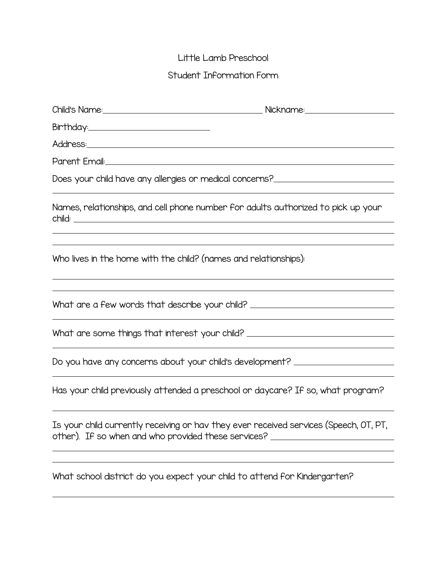Little Lamb Preschool

## Student Information Form

|                                                                  | Does your child have any allergies or medical concerns?_________________________                                                                                          |
|------------------------------------------------------------------|---------------------------------------------------------------------------------------------------------------------------------------------------------------------------|
|                                                                  | Names, relationships, and cell phone number for adults authorized to pick up your                                                                                         |
| Who lives in the home with the child? (names and relationships): |                                                                                                                                                                           |
|                                                                  | What are a few words that describe your child? _________________________________                                                                                          |
|                                                                  | What are some things that interest your child? _________________________________                                                                                          |
|                                                                  | Do you have any concerns about your child's development? _______________________                                                                                          |
|                                                                  | Has your child previously attended a preschool or daycare? If so, what program?                                                                                           |
|                                                                  | Is your child currently receiving or hav they ever received services (Speech, OT, PT,<br>other). If so when and who provided these services? ____________________________ |
|                                                                  | What school district do you expect your child to attend for Kindergarten?                                                                                                 |